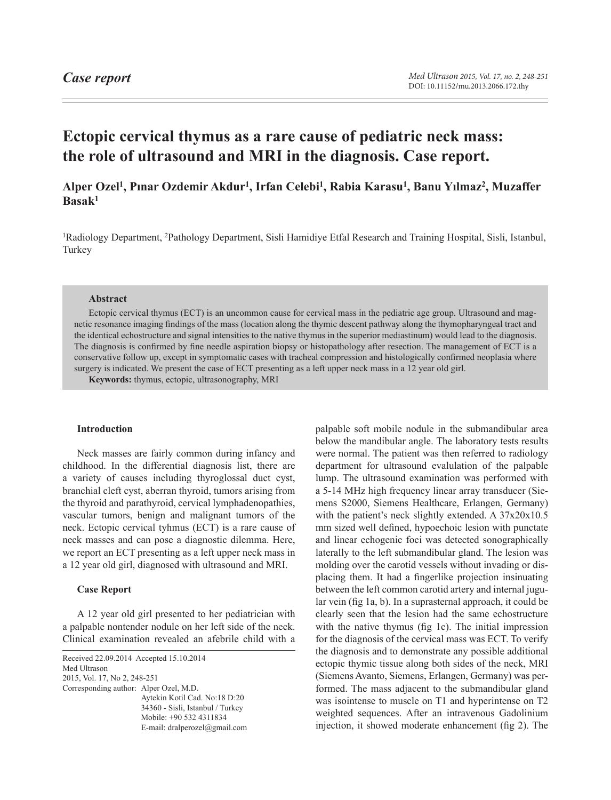# **Ectopic cervical thymus as a rare cause of pediatric neck mass: the role of ultrasound and MRI in the diagnosis. Case report.**

# **Alper Ozel1, Pınar Ozdemir Akdur1, Irfan Celebi1, Rabia Karasu1, Banu Yılmaz2, Muzaffer Basak1**

<sup>1</sup>Radiology Department, <sup>2</sup>Pathology Department, Sisli Hamidiye Etfal Research and Training Hospital, Sisli, Istanbul, Turkey

# **Abstract**

Ectopic cervical thymus (ECT) is an uncommon cause for cervical mass in the pediatric age group. Ultrasound and magnetic resonance imaging findings of the mass (location along the thymic descent pathway along the thymopharyngeal tract and the identical echostructure and signal intensities to the native thymus in the superior mediastinum) would lead to the diagnosis. The diagnosis is confirmed by fine needle aspiration biopsy or histopathology after resection. The management of ECT is a conservative follow up, except in symptomatic cases with tracheal compression and histologically confirmed neoplasia where surgery is indicated. We present the case of ECT presenting as a left upper neck mass in a 12 year old girl.

**Keywords:** thymus, ectopic, ultrasonography, MRI

### **Introduction**

Neck masses are fairly common during infancy and childhood. In the differential diagnosis list, there are a variety of causes including thyroglossal duct cyst, branchial cleft cyst, aberran thyroid, tumors arising from the thyroid and parathyroid, cervical lymphadenopathies, vascular tumors, benign and malignant tumors of the neck. Ectopic cervical tyhmus (ECT) is a rare cause of neck masses and can pose a diagnostic dilemma. Here, we report an ECT presenting as a left upper neck mass in a 12 year old girl, diagnosed with ultrasound and MRI.

# **Case Report**

A 12 year old girl presented to her pediatrician with a palpable nontender nodule on her left side of the neck. Clinical examination revealed an afebrile child with a

Received 22.09.2014 Accepted 15.10.2014 Med Ultrason 2015, Vol. 17, No 2, 248-251 Corresponding author: Alper Ozel, M.D. Aytekin Kotil Cad. No:18 D:20 34360 - Sisli, Istanbul / Turkey Mobile: +90 532 4311834 E-mail: dralperozel@gmail.com palpable soft mobile nodule in the submandibular area below the mandibular angle. The laboratory tests results were normal. The patient was then referred to radiology department for ultrasound evalulation of the palpable lump. The ultrasound examination was performed with a 5-14 MHz high frequency linear array transducer (Siemens S2000, Siemens Healthcare, Erlangen, Germany) with the patient's neck slightly extended. A 37x20x10.5 mm sized well defined, hypoechoic lesion with punctate and linear echogenic foci was detected sonographically laterally to the left submandibular gland. The lesion was molding over the carotid vessels without invading or displacing them. It had a fingerlike projection insinuating between the left common carotid artery and internal jugular vein (fig 1a, b). In a suprasternal approach, it could be clearly seen that the lesion had the same echostructure with the native thymus (fig 1c). The initial impression for the diagnosis of the cervical mass was ECT. To verify the diagnosis and to demonstrate any possible additional ectopic thymic tissue along both sides of the neck, MRI (Siemens Avanto, Siemens, Erlangen, Germany) was performed. The mass adjacent to the submandibular gland was isointense to muscle on T1 and hyperintense on T2 weighted sequences. After an intravenous Gadolinium injection, it showed moderate enhancement (fig 2). The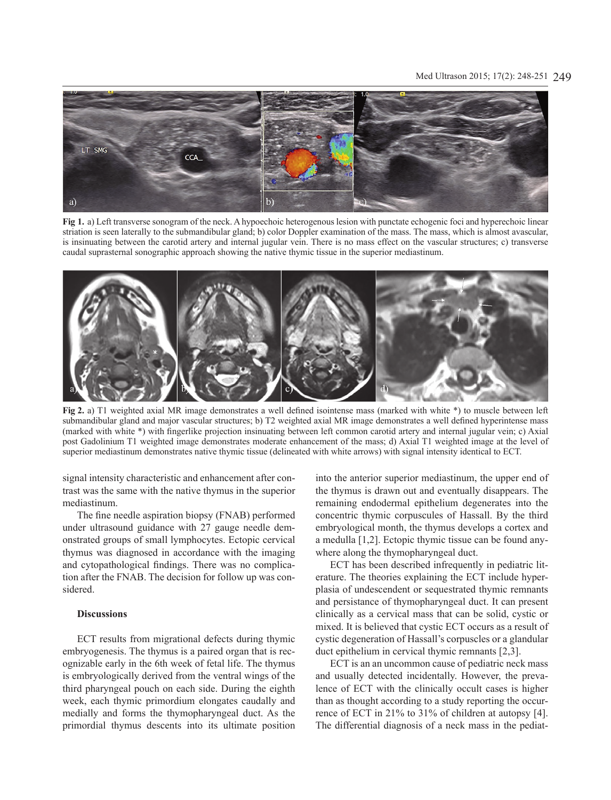## Med Ultrason 2015; 17(2): 248-251 249



**Fig 1.** a) Left transverse sonogram of the neck. A hypoechoic heterogenous lesion with punctate echogenic foci and hyperechoic linear striation is seen laterally to the submandibular gland; b) color Doppler examination of the mass. The mass, which is almost avascular, is insinuating between the carotid artery and internal jugular vein. There is no mass effect on the vascular structures; c) transverse caudal suprasternal sonographic approach showing the native thymic tissue in the superior mediastinum.



**Fig 2.** a) T1 weighted axial MR image demonstrates a well defined isointense mass (marked with white \*) to muscle between left submandibular gland and major vascular structures; b) T2 weighted axial MR image demonstrates a well defined hyperintense mass (marked with white \*) with fingerlike projection insinuating between left common carotid artery and internal jugular vein; c) Axial post Gadolinium T1 weighted image demonstrates moderate enhancement of the mass; d) Axial T1 weighted image at the level of superior mediastinum demonstrates native thymic tissue (delineated with white arrows) with signal intensity identical to ECT.

signal intensity characteristic and enhancement after contrast was the same with the native thymus in the superior mediastinum.

The fine needle aspiration biopsy (FNAB) performed under ultrasound guidance with 27 gauge needle demonstrated groups of small lymphocytes. Ectopic cervical thymus was diagnosed in accordance with the imaging and cytopathological findings. There was no complication after the FNAB. The decision for follow up was considered.

## **Discussions**

ECT results from migrational defects during thymic embryogenesis. The thymus is a paired organ that is recognizable early in the 6th week of fetal life. The thymus is embryologically derived from the ventral wings of the third pharyngeal pouch on each side. During the eighth week, each thymic primordium elongates caudally and medially and forms the thymopharyngeal duct. As the primordial thymus descents into its ultimate position into the anterior superior mediastinum, the upper end of the thymus is drawn out and eventually disappears. The remaining endodermal epithelium degenerates into the concentric thymic corpuscules of Hassall. By the third embryological month, the thymus develops a cortex and a medulla [1,2]. Ectopic thymic tissue can be found anywhere along the thymopharyngeal duct.

ECT has been described infrequently in pediatric literature. The theories explaining the ECT include hyperplasia of undescendent or sequestrated thymic remnants and persistance of thymopharyngeal duct. It can present clinically as a cervical mass that can be solid, cystic or mixed. It is believed that cystic ECT occurs as a result of cystic degeneration of Hassall's corpuscles or a glandular duct epithelium in cervical thymic remnants [2,3].

ECT is an an uncommon cause of pediatric neck mass and usually detected incidentally. However, the prevalence of ECT with the clinically occult cases is higher than as thought according to a study reporting the occurrence of ECT in 21% to 31% of children at autopsy [4]. The differential diagnosis of a neck mass in the pediat-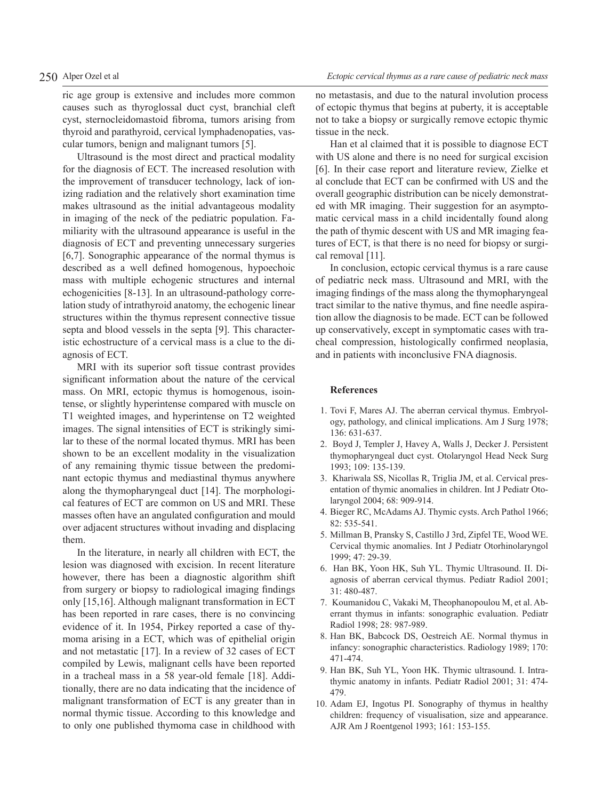ric age group is extensive and includes more common causes such as thyroglossal duct cyst, branchial cleft cyst, sternocleidomastoid fibroma, tumors arising from thyroid and parathyroid, cervical lymphadenopaties, vascular tumors, benign and malignant tumors [5].

Ultrasound is the most direct and practical modality for the diagnosis of ECT. The increased resolution with the improvement of transducer technology, lack of ionizing radiation and the relatively short examination time makes ultrasound as the initial advantageous modality in imaging of the neck of the pediatric population. Familiarity with the ultrasound appearance is useful in the diagnosis of ECT and preventing unnecessary surgeries [6,7]. Sonographic appearance of the normal thymus is described as a well defined homogenous, hypoechoic mass with multiple echogenic structures and internal echogenicities [8-13]. In an ultrasound-pathology correlation study of intrathyroid anatomy, the echogenic linear structures within the thymus represent connective tissue septa and blood vessels in the septa [9]. This characteristic echostructure of a cervical mass is a clue to the diagnosis of ECT.

MRI with its superior soft tissue contrast provides significant information about the nature of the cervical mass. On MRI, ectopic thymus is homogenous, isointense, or slightly hyperintense compared with muscle on T1 weighted images, and hyperintense on T2 weighted images. The signal intensities of ECT is strikingly similar to these of the normal located thymus. MRI has been shown to be an excellent modality in the visualization of any remaining thymic tissue between the predominant ectopic thymus and mediastinal thymus anywhere along the thymopharyngeal duct [14]. The morphological features of ECT are common on US and MRI. These masses often have an angulated configuration and mould over adjacent structures without invading and displacing them.

In the literature, in nearly all children with ECT, the lesion was diagnosed with excision. In recent literature however, there has been a diagnostic algorithm shift from surgery or biopsy to radiological imaging findings only [15,16]. Although malignant transformation in ECT has been reported in rare cases, there is no convincing evidence of it. In 1954, Pirkey reported a case of thymoma arising in a ECT, which was of epithelial origin and not metastatic [17]. In a review of 32 cases of ECT compiled by Lewis, malignant cells have been reported in a tracheal mass in a 58 year-old female [18]. Additionally, there are no data indicating that the incidence of malignant transformation of ECT is any greater than in normal thymic tissue. According to this knowledge and to only one published thymoma case in childhood with

no metastasis, and due to the natural involution process of ectopic thymus that begins at puberty, it is acceptable not to take a biopsy or surgically remove ectopic thymic tissue in the neck.

Han et al claimed that it is possible to diagnose ECT with US alone and there is no need for surgical excision [6]. In their case report and literature review, Zielke et al conclude that ECT can be confirmed with US and the overall geographic distribution can be nicely demonstrated with MR imaging. Their suggestion for an asymptomatic cervical mass in a child incidentally found along the path of thymic descent with US and MR imaging features of ECT, is that there is no need for biopsy or surgical removal [11].

In conclusion, ectopic cervical thymus is a rare cause of pediatric neck mass. Ultrasound and MRI, with the imaging findings of the mass along the thymopharyngeal tract similar to the native thymus, and fine needle aspiration allow the diagnosis to be made. ECT can be followed up conservatively, except in symptomatic cases with tracheal compression, histologically confirmed neoplasia, and in patients with inconclusive FNA diagnosis.

#### **References**

- 1. Tovi F, Mares AJ. The aberran cervical thymus. Embryology, pathology, and clinical implications. Am J Surg 1978; 136: 631-637.
- 2. Boyd J, Templer J, Havey A, Walls J, Decker J. Persistent thymopharyngeal duct cyst. Otolaryngol Head Neck Surg 1993; 109: 135-139.
- 3. Khariwala SS, Nicollas R, Triglia JM, et al. Cervical presentation of thymic anomalies in children. Int J Pediatr Otolaryngol 2004; 68: 909-914.
- 4. Bieger RC, McAdams AJ. Thymic cysts. Arch Pathol 1966; 82: 535-541.
- 5. Millman B, Pransky S, Castillo J 3rd, Zipfel TE, Wood WE. Cervical thymic anomalies. Int J Pediatr Otorhinolaryngol 1999; 47: 29-39.
- 6. Han BK, Yoon HK, Suh YL. Thymic Ultrasound. II. Diagnosis of aberran cervical thymus. Pediatr Radiol 2001; 31: 480-487.
- 7. Koumanidou C, Vakaki M, Theophanopoulou M, et al. Aberrant thymus in infants: sonographic evaluation. Pediatr Radiol 1998; 28: 987-989.
- 8. Han BK, Babcock DS, Oestreich AE. Normal thymus in infancy: sonographic characteristics. Radiology 1989; 170: 471-474.
- 9. Han BK, Suh YL, Yoon HK. Thymic ultrasound. I. Intrathymic anatomy in infants. Pediatr Radiol 2001; 31: 474- 479.
- 10. Adam EJ, Ingotus PI. Sonography of thymus in healthy children: frequency of visualisation, size and appearance. AJR Am J Roentgenol 1993; 161: 153-155.